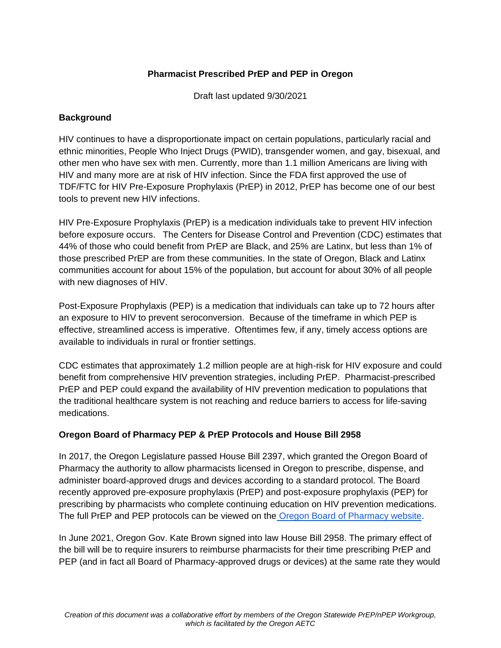## **Pharmacist Prescribed PrEP and PEP in Oregon**

Draft last updated 9/30/2021

### **Background**

HIV continues to have a disproportionate impact on certain populations, particularly racial and ethnic minorities, People Who Inject Drugs (PWID), transgender women, and gay, bisexual, and other men who have sex with men. Currently, more than 1.1 million Americans are living with HIV and many more are at risk of HIV infection. Since the FDA first approved the use of TDF/FTC for HIV Pre-Exposure Prophylaxis (PrEP) in 2012, PrEP has become one of our best tools to prevent new HIV infections.

HIV Pre-Exposure Prophylaxis (PrEP) is a medication individuals take to prevent HIV infection before exposure occurs. The Centers for Disease Control and Prevention (CDC) estimates that 44% of those who could benefit from PrEP are Black, and 25% are Latinx, but less than 1% of those prescribed PrEP are from these communities. In the state of Oregon, Black and Latinx communities account for about 15% of the population, but account for about 30% of all people with new diagnoses of HIV.

Post-Exposure Prophylaxis (PEP) is a medication that individuals can take up to 72 hours after an exposure to HIV to prevent seroconversion. Because of the timeframe in which PEP is effective, streamlined access is imperative. Oftentimes few, if any, timely access options are available to individuals in rural or frontier settings.

CDC estimates that approximately 1.2 million people are at high-risk for HIV exposure and could benefit from comprehensive HIV prevention strategies, including PrEP. Pharmacist-prescribed PrEP and PEP could expand the availability of HIV prevention medication to populations that the traditional healthcare system is not reaching and reduce barriers to access for life-saving medications.

### **Oregon Board of Pharmacy PEP & PrEP Protocols and House Bill 2958**

In 2017, the Oregon Legislature passed House Bill 2397, which granted the Oregon Board of Pharmacy the authority to allow pharmacists licensed in Oregon to prescribe, dispense, and administer board-approved drugs and devices according to a standard protocol. The Board recently approved pre-exposure prophylaxis (PrEP) and post-exposure prophylaxis (PEP) for prescribing by pharmacists who complete continuing education on HIV prevention medications. The full PrEP and PEP protocols can be viewed on the [Oregon Board of Pharmacy website.](https://www.oregon.gov/pharmacy/Pages/PFAC.aspx)

In June 2021, Oregon Gov. Kate Brown signed into law House Bill 2958. The primary effect of the bill will be to require insurers to reimburse pharmacists for their time prescribing PrEP and PEP (and in fact all Board of Pharmacy-approved drugs or devices) at the same rate they would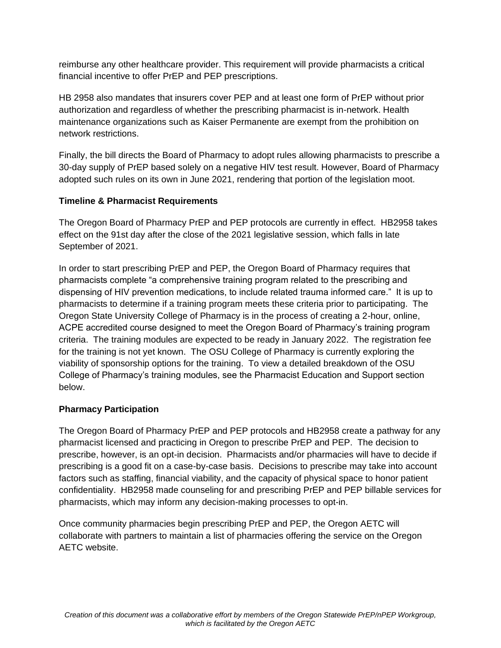reimburse any other healthcare provider. This requirement will provide pharmacists a critical financial incentive to offer PrEP and PEP prescriptions.

HB 2958 also mandates that insurers cover PEP and at least one form of PrEP without prior authorization and regardless of whether the prescribing pharmacist is in-network. Health maintenance organizations such as Kaiser Permanente are exempt from the prohibition on network restrictions.

Finally, the bill directs the Board of Pharmacy to adopt rules allowing pharmacists to prescribe a 30-day supply of PrEP based solely on a negative HIV test result. However, Board of Pharmacy adopted such rules on its own in June 2021, rendering that portion of the legislation moot.

# **Timeline & Pharmacist Requirements**

The Oregon Board of Pharmacy PrEP and PEP protocols are currently in effect. HB2958 takes effect on the 91st day after the close of the 2021 legislative session, which falls in late September of 2021.

In order to start prescribing PrEP and PEP, the Oregon Board of Pharmacy requires that pharmacists complete "a comprehensive training program related to the prescribing and dispensing of HIV prevention medications, to include related trauma informed care." It is up to pharmacists to determine if a training program meets these criteria prior to participating. The Oregon State University College of Pharmacy is in the process of creating a 2-hour, online, ACPE accredited course designed to meet the Oregon Board of Pharmacy's training program criteria. The training modules are expected to be ready in January 2022. The registration fee for the training is not yet known. The OSU College of Pharmacy is currently exploring the viability of sponsorship options for the training. To view a detailed breakdown of the OSU College of Pharmacy's training modules, see the Pharmacist Education and Support section below.

# **Pharmacy Participation**

The Oregon Board of Pharmacy PrEP and PEP protocols and HB2958 create a pathway for any pharmacist licensed and practicing in Oregon to prescribe PrEP and PEP. The decision to prescribe, however, is an opt-in decision. Pharmacists and/or pharmacies will have to decide if prescribing is a good fit on a case-by-case basis. Decisions to prescribe may take into account factors such as staffing, financial viability, and the capacity of physical space to honor patient confidentiality. HB2958 made counseling for and prescribing PrEP and PEP billable services for pharmacists, which may inform any decision-making processes to opt-in.

Once community pharmacies begin prescribing PrEP and PEP, the Oregon AETC will collaborate with partners to maintain a list of pharmacies offering the service on the Oregon AETC website.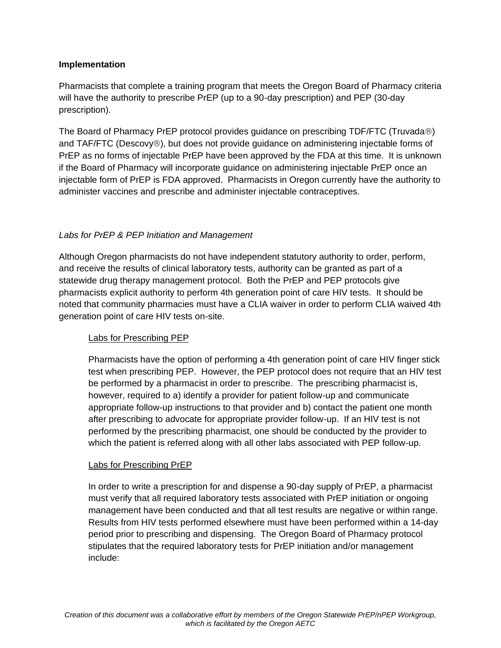### **Implementation**

Pharmacists that complete a training program that meets the Oregon Board of Pharmacy criteria will have the authority to prescribe PrEP (up to a 90-day prescription) and PEP (30-day prescription).

The Board of Pharmacy PrEP protocol provides guidance on prescribing TDF/FTC (Truvada®) and TAF/FTC (Descovy®), but does not provide guidance on administering injectable forms of PrEP as no forms of injectable PrEP have been approved by the FDA at this time. It is unknown if the Board of Pharmacy will incorporate guidance on administering injectable PrEP once an injectable form of PrEP is FDA approved. Pharmacists in Oregon currently have the authority to administer vaccines and prescribe and administer injectable contraceptives.

## *Labs for PrEP & PEP Initiation and Management*

Although Oregon pharmacists do not have independent statutory authority to order, perform, and receive the results of clinical laboratory tests, authority can be granted as part of a statewide drug therapy management protocol. Both the PrEP and PEP protocols give pharmacists explicit authority to perform 4th generation point of care HIV tests. It should be noted that community pharmacies must have a CLIA waiver in order to perform CLIA waived 4th generation point of care HIV tests on-site.

### Labs for Prescribing PEP

Pharmacists have the option of performing a 4th generation point of care HIV finger stick test when prescribing PEP. However, the PEP protocol does not require that an HIV test be performed by a pharmacist in order to prescribe. The prescribing pharmacist is, however, required to a) identify a provider for patient follow-up and communicate appropriate follow-up instructions to that provider and b) contact the patient one month after prescribing to advocate for appropriate provider follow-up. If an HIV test is not performed by the prescribing pharmacist, one should be conducted by the provider to which the patient is referred along with all other labs associated with PEP follow-up.

### Labs for Prescribing PrEP

In order to write a prescription for and dispense a 90-day supply of PrEP, a pharmacist must verify that all required laboratory tests associated with PrEP initiation or ongoing management have been conducted and that all test results are negative or within range. Results from HIV tests performed elsewhere must have been performed within a 14-day period prior to prescribing and dispensing. The Oregon Board of Pharmacy protocol stipulates that the required laboratory tests for PrEP initiation and/or management include: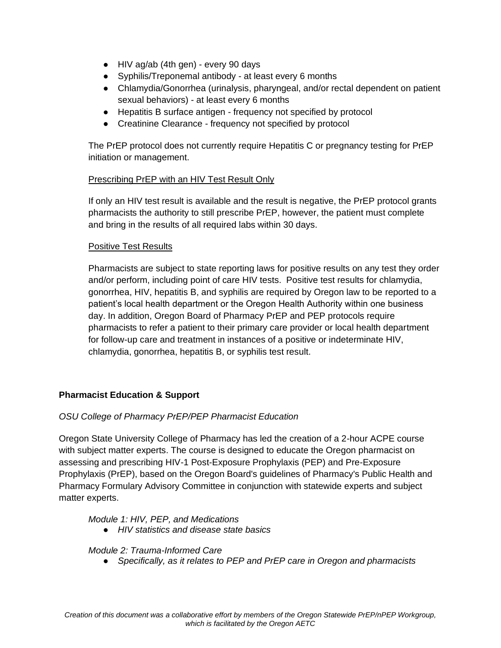- HIV ag/ab (4th gen) every 90 days
- Syphilis/Treponemal antibody at least every 6 months
- Chlamydia/Gonorrhea (urinalysis, pharyngeal, and/or rectal dependent on patient sexual behaviors) - at least every 6 months
- Hepatitis B surface antigen frequency not specified by protocol
- Creatinine Clearance frequency not specified by protocol

The PrEP protocol does not currently require Hepatitis C or pregnancy testing for PrEP initiation or management.

### Prescribing PrEP with an HIV Test Result Only

If only an HIV test result is available and the result is negative, the PrEP protocol grants pharmacists the authority to still prescribe PrEP, however, the patient must complete and bring in the results of all required labs within 30 days.

#### Positive Test Results

Pharmacists are subject to state reporting laws for positive results on any test they order and/or perform, including point of care HIV tests. Positive test results for chlamydia, gonorrhea, HIV, hepatitis B, and syphilis are required by Oregon law to be reported to a patient's local health department or the Oregon Health Authority within one business day. In addition, Oregon Board of Pharmacy PrEP and PEP protocols require pharmacists to refer a patient to their primary care provider or local health department for follow-up care and treatment in instances of a positive or indeterminate HIV, chlamydia, gonorrhea, hepatitis B, or syphilis test result.

### **Pharmacist Education & Support**

### *OSU College of Pharmacy PrEP/PEP Pharmacist Education*

Oregon State University College of Pharmacy has led the creation of a 2-hour ACPE course with subject matter experts. The course is designed to educate the Oregon pharmacist on assessing and prescribing HIV-1 Post-Exposure Prophylaxis (PEP) and Pre-Exposure Prophylaxis (PrEP), based on the Oregon Board's guidelines of Pharmacy's Public Health and Pharmacy Formulary Advisory Committee in conjunction with statewide experts and subject matter experts.

#### *Module 1: HIV, PEP, and Medications*

● *HIV statistics and disease state basics*

#### *Module 2: Trauma-Informed Care*

● *Specifically, as it relates to PEP and PrEP care in Oregon and pharmacists*